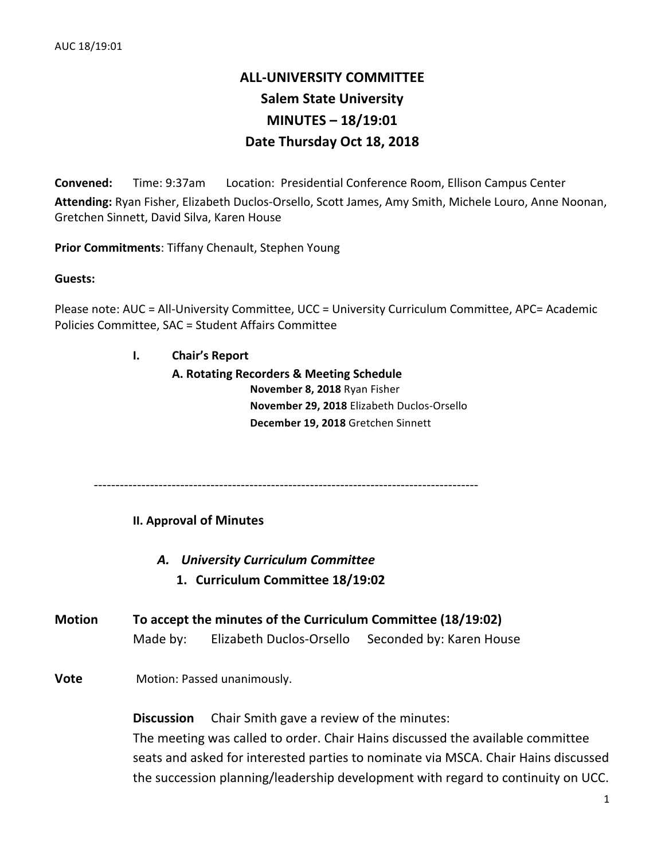## **ALL-UNIVERSITY COMMITTEE Salem State University MINUTES – 18/19:01 Date Thursday Oct 18, 2018**

**Convened:** Time: 9:37am Location: Presidential Conference Room, Ellison Campus Center Attending: Ryan Fisher, Elizabeth Duclos-Orsello, Scott James, Amy Smith, Michele Louro, Anne Noonan, Gretchen Sinnett, David Silva, Karen House

**Prior Commitments: Tiffany Chenault, Stephen Young** 

**Guests:**

Please note: AUC = All-University Committee, UCC = University Curriculum Committee, APC= Academic Policies Committee, SAC = Student Affairs Committee

**I. Chair's Report**

**A. Rotating Recorders & Meeting Schedule November 8, 2018** Ryan Fisher **November 29, 2018** Elizabeth Duclos-Orsello **December 19, 2018** Gretchen Sinnett

-----------------------------------------------------------------------------------------

**II. Approval of Minutes**

*A. University Curriculum Committee*

- **1. Curriculum Committee 18/19:02**
- **Motion To** accept the minutes of the Curriculum Committee (18/19:02) Made by: Elizabeth Duclos-Orsello Seconded by: Karen House

**Vote** Motion: Passed unanimously.

**Discussion** Chair Smith gave a review of the minutes:

The meeting was called to order. Chair Hains discussed the available committee seats and asked for interested parties to nominate via MSCA. Chair Hains discussed the succession planning/leadership development with regard to continuity on UCC.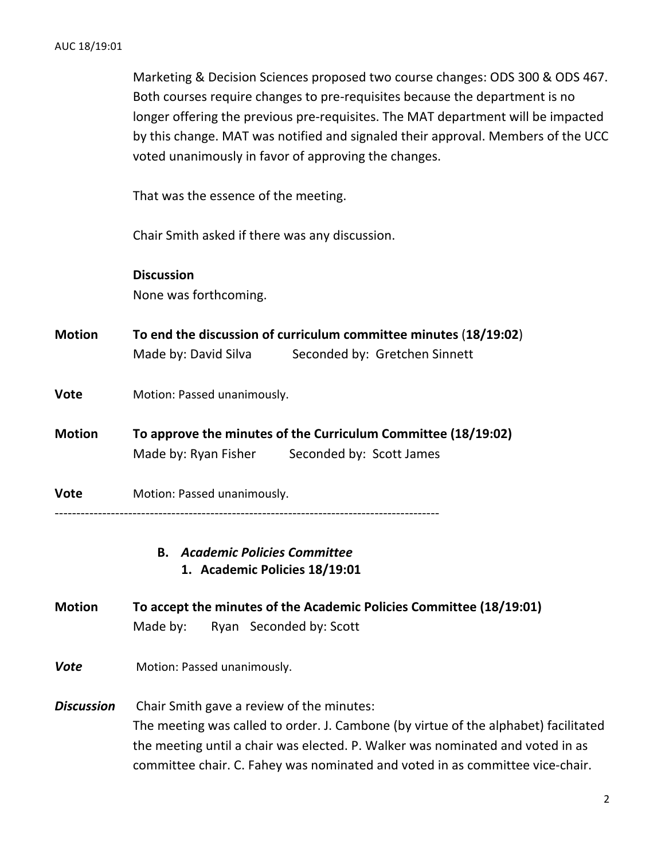Marketing & Decision Sciences proposed two course changes: ODS 300 & ODS 467. Both courses require changes to pre-requisites because the department is no longer offering the previous pre-requisites. The MAT department will be impacted by this change. MAT was notified and signaled their approval. Members of the UCC voted unanimously in favor of approving the changes.

That was the essence of the meeting.

Chair Smith asked if there was any discussion.

**Discussion** None was forthcoming.

- **Motion To end the discussion of curriculum committee minutes** (18/19:02) Made by: David Silva Seconded by: Gretchen Sinnett
- **Vote** Motion: Passed unanimously.
- **Motion To approve the minutes of the Curriculum Committee (18/19:02)** Made by: Ryan Fisher Seconded by: Scott James
- **Vote** Motion: Passed unanimously. -----------------------------------------------------------------------------------------

## **B.** *Academic Policies Committee* **1. Academic Policies 18/19:01**

- **Motion To accept the minutes of the Academic Policies Committee (18/19:01)** Made by: Ryan Seconded by: Scott
- **Vote** Motion: Passed unanimously.
- **Discussion** Chair Smith gave a review of the minutes: The meeting was called to order. J. Cambone (by virtue of the alphabet) facilitated the meeting until a chair was elected. P. Walker was nominated and voted in as committee chair. C. Fahey was nominated and voted in as committee vice-chair.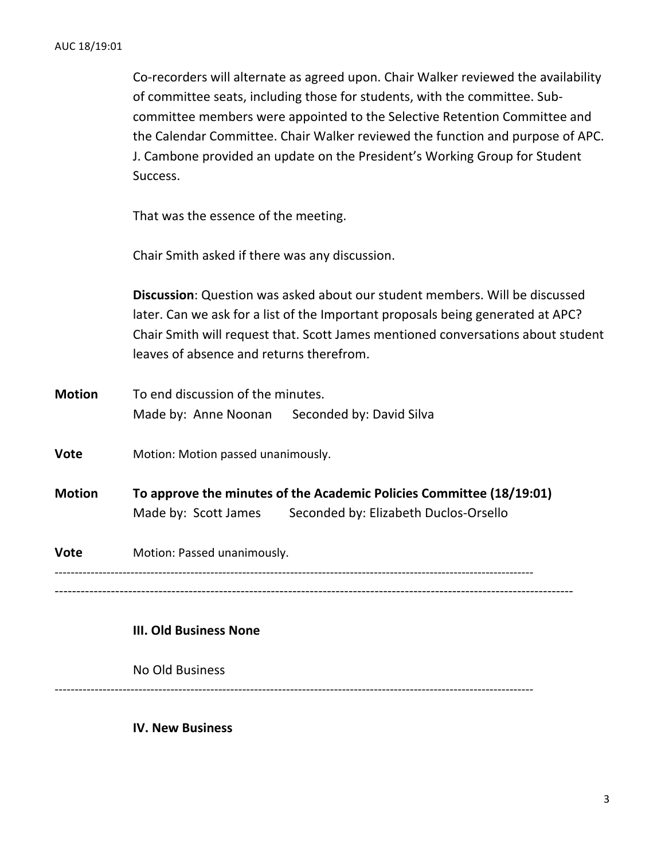Co-recorders will alternate as agreed upon. Chair Walker reviewed the availability of committee seats, including those for students, with the committee. Subcommittee members were appointed to the Selective Retention Committee and the Calendar Committee. Chair Walker reviewed the function and purpose of APC. J. Cambone provided an update on the President's Working Group for Student Success.

That was the essence of the meeting.

Chair Smith asked if there was any discussion.

**Discussion**: Question was asked about our student members. Will be discussed later. Can we ask for a list of the Important proposals being generated at APC? Chair Smith will request that. Scott James mentioned conversations about student leaves of absence and returns therefrom.

**Motion** To end discussion of the minutes. Made by: Anne Noonan Seconded by: David Silva

**Vote** Motion: Motion passed unanimously.

**Motion To approve the minutes of the Academic Policies Committee (18/19:01)** Made by: Scott James Seconded by: Elizabeth Duclos-Orsello

**Vote** Motion: Passed unanimously. ------------------------------------------------------------------------------------------------------------------------ ------------------------------------------------------------------------------------------------------------------------

## **III. Old Business None**

No Old Business

------------------------------------------------------------------------------------------------------------------------

**IV. New Business**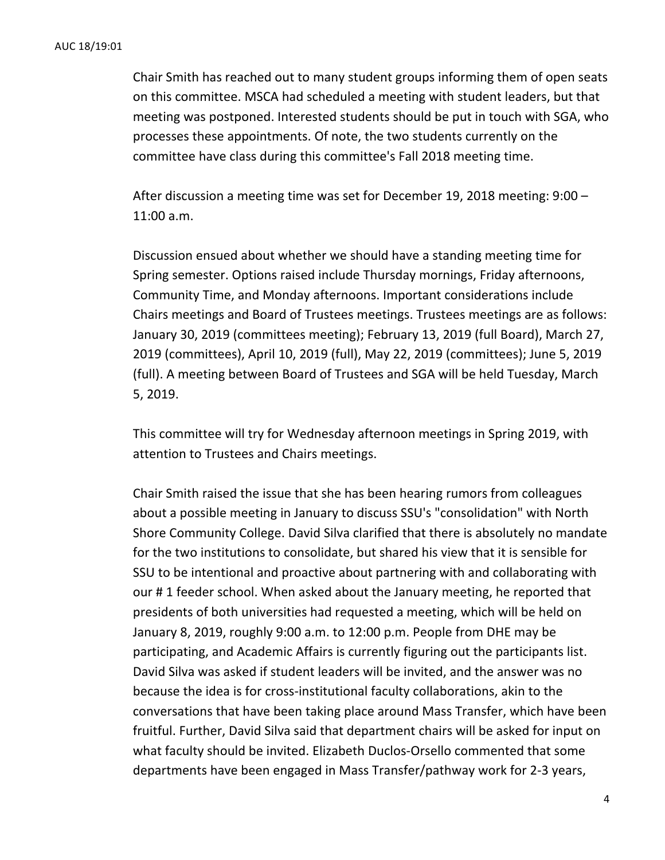Chair Smith has reached out to many student groups informing them of open seats on this committee. MSCA had scheduled a meeting with student leaders, but that meeting was postponed. Interested students should be put in touch with SGA, who processes these appointments. Of note, the two students currently on the committee have class during this committee's Fall 2018 meeting time.

After discussion a meeting time was set for December 19, 2018 meeting:  $9:00 -$ 11:00 a.m. 

Discussion ensued about whether we should have a standing meeting time for Spring semester. Options raised include Thursday mornings, Friday afternoons, Community Time, and Monday afternoons. Important considerations include Chairs meetings and Board of Trustees meetings. Trustees meetings are as follows: January 30, 2019 (committees meeting); February 13, 2019 (full Board), March 27, 2019 (committees), April 10, 2019 (full), May 22, 2019 (committees); June 5, 2019 (full). A meeting between Board of Trustees and SGA will be held Tuesday, March 5, 2019. 

This committee will try for Wednesday afternoon meetings in Spring 2019, with attention to Trustees and Chairs meetings.

Chair Smith raised the issue that she has been hearing rumors from colleagues about a possible meeting in January to discuss SSU's "consolidation" with North Shore Community College. David Silva clarified that there is absolutely no mandate for the two institutions to consolidate, but shared his view that it is sensible for SSU to be intentional and proactive about partnering with and collaborating with our # 1 feeder school. When asked about the January meeting, he reported that presidents of both universities had requested a meeting, which will be held on January 8, 2019, roughly 9:00 a.m. to 12:00 p.m. People from DHE may be participating, and Academic Affairs is currently figuring out the participants list. David Silva was asked if student leaders will be invited, and the answer was no because the idea is for cross-institutional faculty collaborations, akin to the conversations that have been taking place around Mass Transfer, which have been fruitful. Further, David Silva said that department chairs will be asked for input on what faculty should be invited. Elizabeth Duclos-Orsello commented that some departments have been engaged in Mass Transfer/pathway work for 2-3 years,